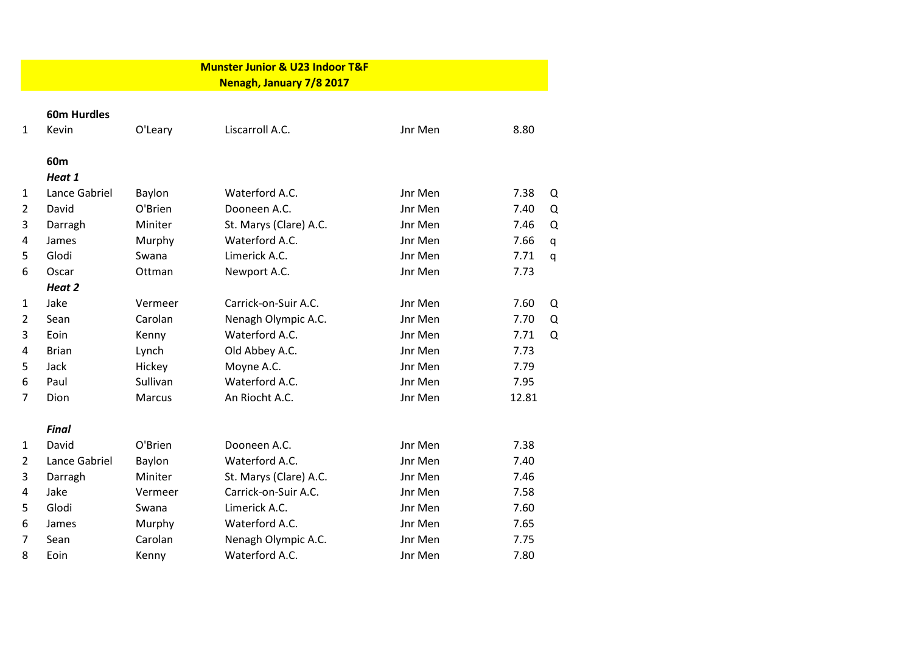|                | <b>Munster Junior &amp; U23 Indoor T&amp;F</b> |          |                          |         |                     |  |  |  |  |  |  |
|----------------|------------------------------------------------|----------|--------------------------|---------|---------------------|--|--|--|--|--|--|
|                |                                                |          | Nenagh, January 7/8 2017 |         |                     |  |  |  |  |  |  |
|                | <b>60m Hurdles</b>                             |          |                          |         |                     |  |  |  |  |  |  |
| $\mathbf{1}$   | Kevin                                          | O'Leary  | Liscarroll A.C.          | Jnr Men | 8.80                |  |  |  |  |  |  |
|                | 60m                                            |          |                          |         |                     |  |  |  |  |  |  |
|                | Heat 1                                         |          |                          |         |                     |  |  |  |  |  |  |
| 1              | Lance Gabriel                                  | Baylon   | Waterford A.C.           | Jnr Men | 7.38<br>Q           |  |  |  |  |  |  |
| $\overline{2}$ | David                                          | O'Brien  | Dooneen A.C.             | Jnr Men | 7.40<br>Q           |  |  |  |  |  |  |
| 3              | Darragh                                        | Miniter  | St. Marys (Clare) A.C.   | Jnr Men | $\Omega$<br>7.46    |  |  |  |  |  |  |
| 4              | James                                          | Murphy   | Waterford A.C.           | Jnr Men | 7.66<br>$\mathsf q$ |  |  |  |  |  |  |
| 5              | Glodi                                          | Swana    | Limerick A.C.            | Jnr Men | 7.71<br>q           |  |  |  |  |  |  |
| 6              | Oscar                                          | Ottman   | Newport A.C.             | Jnr Men | 7.73                |  |  |  |  |  |  |
|                | Heat 2                                         |          |                          |         |                     |  |  |  |  |  |  |
| 1              | Jake                                           | Vermeer  | Carrick-on-Suir A.C.     | Jnr Men | 7.60<br>Q           |  |  |  |  |  |  |
| $\overline{2}$ | Sean                                           | Carolan  | Nenagh Olympic A.C.      | Jnr Men | 7.70<br>Q           |  |  |  |  |  |  |
| 3              | Eoin                                           | Kenny    | Waterford A.C.           | Jnr Men | 7.71<br>Q           |  |  |  |  |  |  |
| 4              | <b>Brian</b>                                   | Lynch    | Old Abbey A.C.           | Jnr Men | 7.73                |  |  |  |  |  |  |
| 5              | Jack                                           | Hickey   | Moyne A.C.               | Jnr Men | 7.79                |  |  |  |  |  |  |
| 6              | Paul                                           | Sullivan | Waterford A.C.           | Jnr Men | 7.95                |  |  |  |  |  |  |
| 7              | Dion                                           | Marcus   | An Riocht A.C.           | Jnr Men | 12.81               |  |  |  |  |  |  |
|                | <b>Final</b>                                   |          |                          |         |                     |  |  |  |  |  |  |
| 1              | David                                          | O'Brien  | Dooneen A.C.             | Jnr Men | 7.38                |  |  |  |  |  |  |
| $\overline{2}$ | Lance Gabriel                                  | Baylon   | Waterford A.C.           | Jnr Men | 7.40                |  |  |  |  |  |  |
| 3              | Darragh                                        | Miniter  | St. Marys (Clare) A.C.   | Jnr Men | 7.46                |  |  |  |  |  |  |
| 4              | Jake                                           | Vermeer  | Carrick-on-Suir A.C.     | Jnr Men | 7.58                |  |  |  |  |  |  |
| 5              | Glodi                                          | Swana    | Limerick A.C.            | Jnr Men | 7.60                |  |  |  |  |  |  |
| 6              | James                                          | Murphy   | Waterford A.C.           | Jnr Men | 7.65                |  |  |  |  |  |  |
| 7              | Sean                                           | Carolan  | Nenagh Olympic A.C.      | Jnr Men | 7.75                |  |  |  |  |  |  |
| 8              | Eoin                                           | Kenny    | Waterford A.C.           | Jnr Men | 7.80                |  |  |  |  |  |  |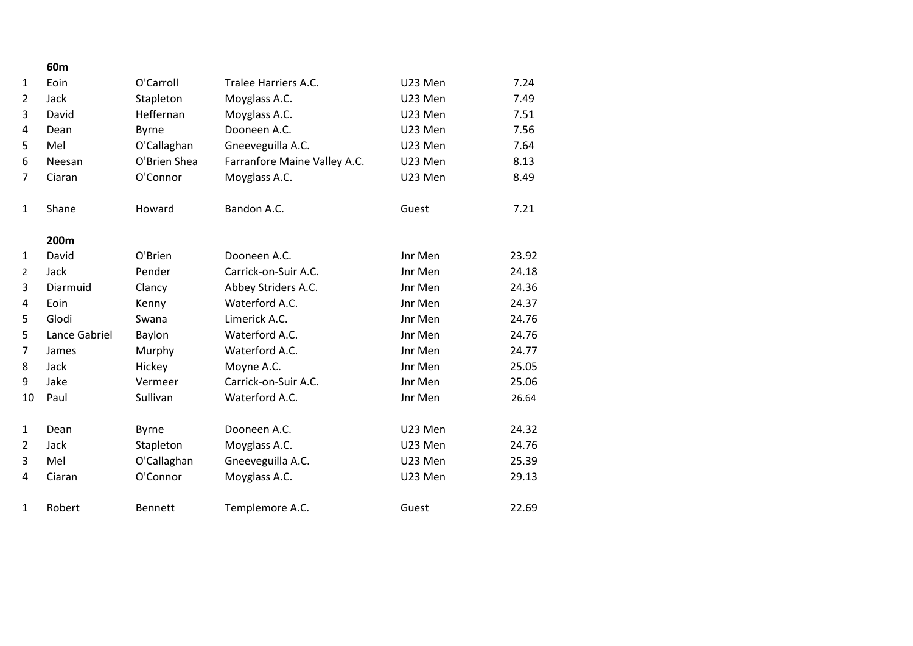|                | 60m              |                |                              |         |       |
|----------------|------------------|----------------|------------------------------|---------|-------|
| $\mathbf{1}$   | Eoin             | O'Carroll      | Tralee Harriers A.C.         | U23 Men | 7.24  |
| $\overline{2}$ | Jack             | Stapleton      | Moyglass A.C.                | U23 Men | 7.49  |
| 3              | David            | Heffernan      | Moyglass A.C.                | U23 Men | 7.51  |
| 4              | Dean             | <b>Byrne</b>   | Dooneen A.C.                 | U23 Men | 7.56  |
| 5              | Mel              | O'Callaghan    | Gneeveguilla A.C.            | U23 Men | 7.64  |
| 6              | Neesan           | O'Brien Shea   | Farranfore Maine Valley A.C. | U23 Men | 8.13  |
| 7              | Ciaran           | O'Connor       | Moyglass A.C.                | U23 Men | 8.49  |
| $\mathbf{1}$   | Shane            | Howard         | Bandon A.C.                  | Guest   | 7.21  |
|                | 200 <sub>m</sub> |                |                              |         |       |
| 1              | David            | O'Brien        | Dooneen A.C.                 | Jnr Men | 23.92 |
| $\overline{2}$ | Jack             | Pender         | Carrick-on-Suir A.C.         | Jnr Men | 24.18 |
| 3              | Diarmuid         | Clancy         | Abbey Striders A.C.          | Jnr Men | 24.36 |
| 4              | Eoin             | Kenny          | Waterford A.C.               | Jnr Men | 24.37 |
| 5              | Glodi            | Swana          | Limerick A.C.                | Jnr Men | 24.76 |
| 5              | Lance Gabriel    | Baylon         | Waterford A.C.               | Jnr Men | 24.76 |
| $\overline{7}$ | James            | Murphy         | Waterford A.C.               | Jnr Men | 24.77 |
| 8              | Jack             | Hickey         | Moyne A.C.                   | Jnr Men | 25.05 |
| 9              | Jake             | Vermeer        | Carrick-on-Suir A.C.         | Jnr Men | 25.06 |
| 10             | Paul             | Sullivan       | Waterford A.C.               | Jnr Men | 26.64 |
| $\mathbf{1}$   | Dean             | <b>Byrne</b>   | Dooneen A.C.                 | U23 Men | 24.32 |
| $\overline{2}$ | Jack             | Stapleton      | Moyglass A.C.                | U23 Men | 24.76 |
| 3              | Mel              | O'Callaghan    | Gneeveguilla A.C.            | U23 Men | 25.39 |
| 4              | Ciaran           | O'Connor       | Moyglass A.C.                | U23 Men | 29.13 |
| $\mathbf{1}$   | Robert           | <b>Bennett</b> | Templemore A.C.              | Guest   | 22.69 |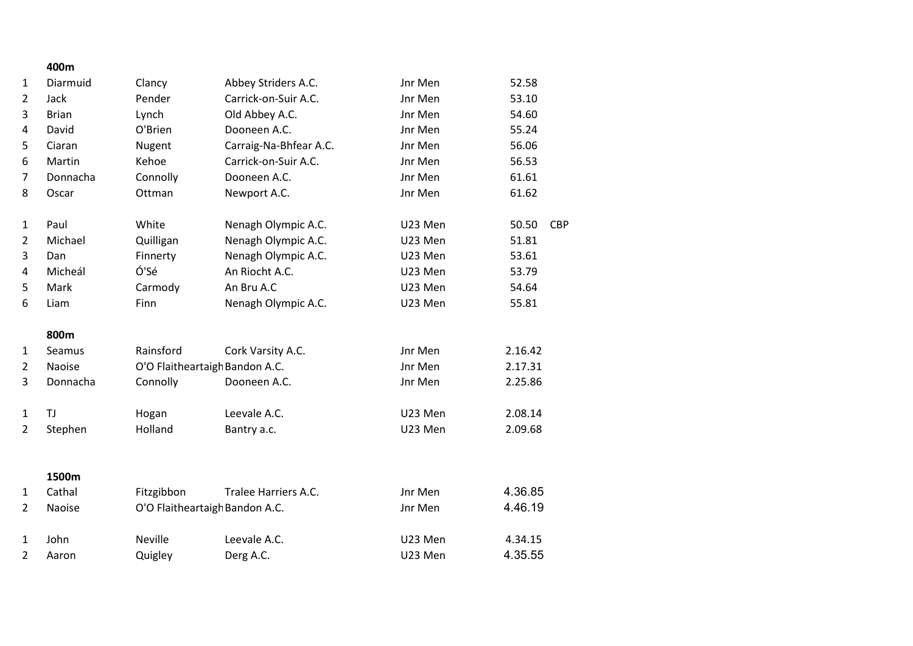|                | 400m         |                                |                        |         |                     |
|----------------|--------------|--------------------------------|------------------------|---------|---------------------|
| 1              | Diarmuid     | Clancy                         | Abbey Striders A.C.    | Jnr Men | 52.58               |
| $\overline{2}$ | Jack         | Pender                         | Carrick-on-Suir A.C.   | Jnr Men | 53.10               |
| 3              | <b>Brian</b> | Lynch                          | Old Abbey A.C.         | Jnr Men | 54.60               |
| 4              | David        | O'Brien                        | Dooneen A.C.           | Jnr Men | 55.24               |
| 5              | Ciaran       | Nugent                         | Carraig-Na-Bhfear A.C. | Jnr Men | 56.06               |
| 6              | Martin       | Kehoe                          | Carrick-on-Suir A.C.   | Jnr Men | 56.53               |
| $\overline{7}$ | Donnacha     | Connolly                       | Dooneen A.C.           | Jnr Men | 61.61               |
| 8              | Oscar        | Ottman                         | Newport A.C.           | Jnr Men | 61.62               |
| 1              | Paul         | White                          | Nenagh Olympic A.C.    | U23 Men | 50.50<br><b>CBP</b> |
| $\overline{2}$ | Michael      | Quilligan                      | Nenagh Olympic A.C.    | U23 Men | 51.81               |
| 3              | Dan          | Finnerty                       | Nenagh Olympic A.C.    | U23 Men | 53.61               |
| 4              | Micheál      | Ó'Sé                           | An Riocht A.C.         | U23 Men | 53.79               |
| 5              | Mark         | Carmody                        | An Bru A.C             | U23 Men | 54.64               |
| 6              | Liam         | Finn                           | Nenagh Olympic A.C.    | U23 Men | 55.81               |
|                | 800m         |                                |                        |         |                     |
| 1              | Seamus       | Rainsford                      | Cork Varsity A.C.      | Jnr Men | 2.16.42             |
| 2              | Naoise       | O'O Flaitheartaigh Bandon A.C. |                        | Jnr Men | 2.17.31             |
| 3              | Donnacha     | Connolly                       | Dooneen A.C.           | Jnr Men | 2.25.86             |
| $\mathbf{1}$   | <b>TJ</b>    | Hogan                          | Leevale A.C.           | U23 Men | 2.08.14             |
| $\overline{2}$ | Stephen      | Holland                        | Bantry a.c.            | U23 Men | 2.09.68             |
|                | 1500m        |                                |                        |         |                     |
| $\mathbf{1}$   | Cathal       | Fitzgibbon                     | Tralee Harriers A.C.   | Jnr Men | 4.36.85             |
| $\overline{2}$ | Naoise       | O'O Flaitheartaigh Bandon A.C. |                        | Jnr Men | 4.46.19             |
|                |              |                                |                        |         |                     |
| $\mathbf{1}$   | John         | <b>Neville</b>                 | Leevale A.C.           | U23 Men | 4.34.15             |
| $\overline{2}$ | Aaron        | Quigley                        | Derg A.C.              | U23 Men | 4.35.55             |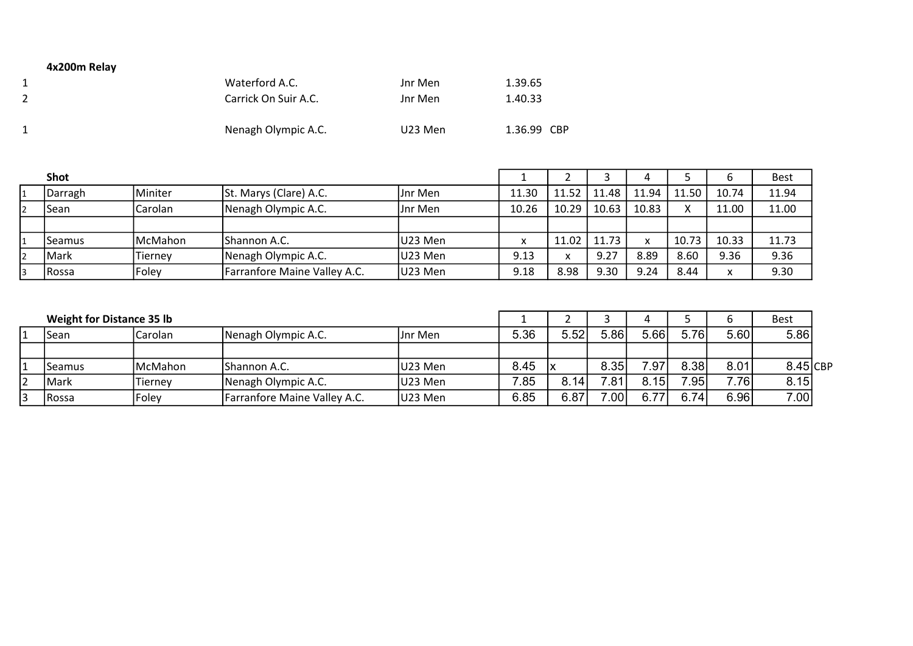## 4x200m Relay

| Waterford A.C.       | Jnr Men | 1.39.65     |
|----------------------|---------|-------------|
| Carrick On Suir A.C. | Jnr Men | 1.40.33     |
| Nenagh Olympic A.C.  | U23 Men | 1.36.99 CBP |

| Shot          |                 |                              |          |       |       |       |             |       |              | <b>Best</b> |
|---------------|-----------------|------------------------------|----------|-------|-------|-------|-------------|-------|--------------|-------------|
| Darragh       | Miniter         | St. Marys (Clare) A.C.       | IJnr Men | 11.30 | 11.52 | 11.48 | 11.94       | 11.50 | 10.74        | 11.94       |
| Sean          | lCarolan        | Nenagh Olympic A.C.          | Jnr Men  | 10.26 | 10.29 | 10.63 | 10.83       |       | 11.00        | 11.00       |
|               |                 |                              |          |       |       |       |             |       |              |             |
| Seamus        | <b>IMcMahon</b> | <b>IShannon A.C.</b>         | U23 Men  |       | 11.02 | 11.73 | $\mathbf v$ | 10.73 | 10.33        | 11.73       |
| Mark          | Tiernev         | Nenagh Olympic A.C.          | U23 Men  | 9.13  |       | 9.27  | 8.89        | 8.60  | 9.36         | 9.36        |
| <b>IRossa</b> | Foley           | Farranfore Maine Valley A.C. | U23 Men  | 9.18  | 8.98  | 9.30  | 9.24        | 8.44  | $\mathbf{v}$ | 9.30        |

| <b>Weight for Distance 35 lb</b> |         |                              |          |      |      |       |      |      |      | <b>Best</b> |  |
|----------------------------------|---------|------------------------------|----------|------|------|-------|------|------|------|-------------|--|
| Sean                             | Carolan | Nenagh Olympic A.C.          | IJnr Men | 5.36 | 5.52 | 5.86' | 5.66 | 5.76 | 5.60 | 5.86        |  |
|                                  |         |                              |          |      |      |       |      |      |      |             |  |
| Seamus                           | McMahon | IShannon A.C.                | U23 Men  | 8.45 |      | 8.35  | 7.97 | 8.38 | 8.01 | $8.45$ CBP  |  |
| Mark                             | Tierney | Nenagh Olympic A.C.          | U23 Men  | 7.85 | 8.14 | 7.81  | 8.15 | 7.95 | 7.76 | 8.15        |  |
| <b>IRossa</b>                    | Foley   | Farranfore Maine Valley A.C. | U23 Men  | 6.85 | 6.87 | 7.001 | 6.77 | 6.74 | 6.96 | 7.00        |  |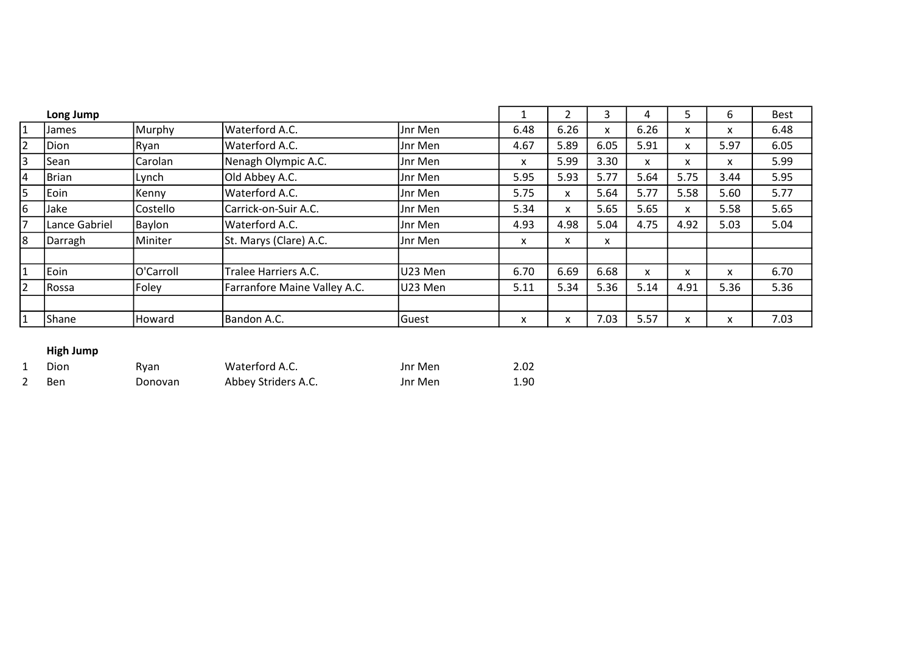|    | Long Jump     |                   |                              |          |      |      | 3    | 4    |      | b    | <b>Best</b> |
|----|---------------|-------------------|------------------------------|----------|------|------|------|------|------|------|-------------|
| 11 | James         | Murphy            | <b>Waterford A.C.</b>        | Jnr Men  | 6.48 | 6.26 | X    | 6.26 | x    | x    | 6.48        |
| 2  | Dion          | Ryan              | Waterford A.C.               | Jnr Men  | 4.67 | 5.89 | 6.05 | 5.91 | x    | 5.97 | 6.05        |
| 3  | Sean          | Carolan           | Nenagh Olympic A.C.          | Jnr Men  | X    | 5.99 | 3.30 | X    | x    | x    | 5.99        |
| 14 | Brian         | Lynch             | Old Abbey A.C.               | Jnr Men  | 5.95 | 5.93 | 5.77 | 5.64 | 5.75 | 3.44 | 5.95        |
| 5  | Eoin          | Kenny             | Waterford A.C.               | Jnr Men  | 5.75 | X.   | 5.64 | 5.77 | 5.58 | 5.60 | 5.77        |
| 6  | Jake          | <b>Costello</b>   | Carrick-on-Suir A.C.         | Jnr Men  | 5.34 | X    | 5.65 | 5.65 | x    | 5.58 | 5.65        |
| 17 | Lance Gabriel | Baylon            | Waterford A.C.               | Jnr Men  | 4.93 | 4.98 | 5.04 | 4.75 | 4.92 | 5.03 | 5.04        |
| 18 | Darragh       | Miniter           | St. Marys (Clare) A.C.       | Jnr Men  | X    | x    | x    |      |      |      |             |
|    |               |                   |                              |          |      |      |      |      |      |      |             |
| 1  | Eoin          | <b>IO'Carroll</b> | Tralee Harriers A.C.         | lU23 Men | 6.70 | 6.69 | 6.68 | x    | x    | x    | 6.70        |
| 2  | Rossa         | Foley             | Farranfore Maine Valley A.C. | U23 Men  | 5.11 | 5.34 | 5.36 | 5.14 | 4.91 | 5.36 | 5.36        |
|    |               |                   |                              |          |      |      |      |      |      |      |             |
| 1  | Shane         | <b>Howard</b>     | Bandon A.C.                  | Guest    | x    | x    | 7.03 | 5.57 | x    | x    | 7.03        |

## High Jump

| Dion | Ryan    | Waterford A.C.      | Jnr Men | 2.02 |
|------|---------|---------------------|---------|------|
| Ben  | Donovan | Abbey Striders A.C. | Jnr Men | 1.90 |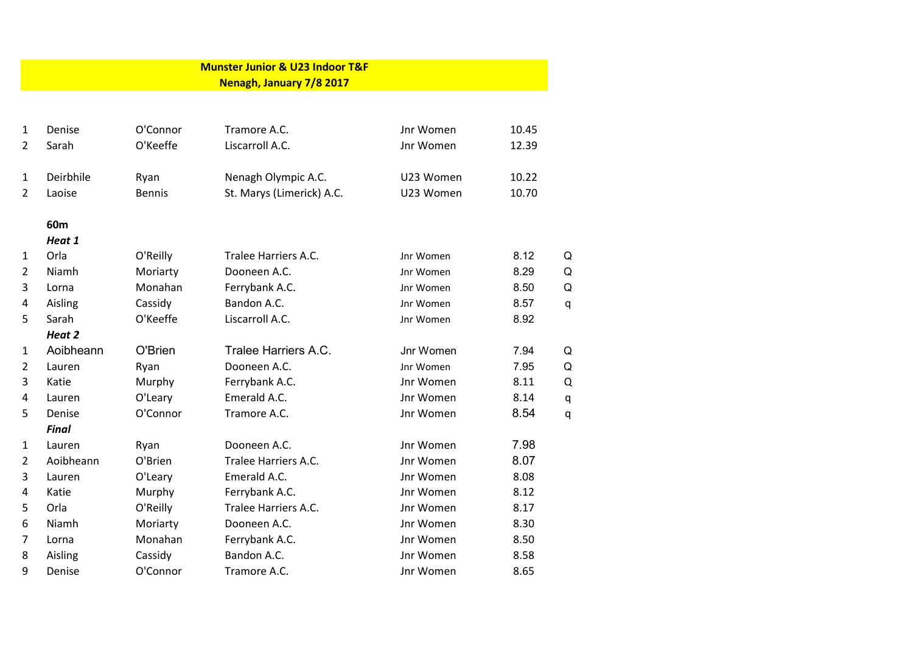|                                | <b>Munster Junior &amp; U23 Indoor T&amp;F</b><br>Nenagh, January 7/8 2017 |                       |                                                                                              |                        |                |   |  |  |  |  |
|--------------------------------|----------------------------------------------------------------------------|-----------------------|----------------------------------------------------------------------------------------------|------------------------|----------------|---|--|--|--|--|
|                                |                                                                            |                       |                                                                                              |                        |                |   |  |  |  |  |
| $\mathbf{1}$<br>$\overline{2}$ | Denise<br>Sarah                                                            | O'Connor<br>O'Keeffe  | Tramore A.C.<br>Liscarroll A.C.                                                              | Jnr Women<br>Jnr Women | 10.45<br>12.39 |   |  |  |  |  |
| $\mathbf{1}$<br>$\overline{2}$ | Deirbhile<br>Laoise                                                        | Ryan<br><b>Bennis</b> | 10.22<br>Nenagh Olympic A.C.<br>U23 Women<br>10.70<br>St. Marys (Limerick) A.C.<br>U23 Women |                        |                |   |  |  |  |  |
|                                | 60m                                                                        |                       |                                                                                              |                        |                |   |  |  |  |  |
|                                | Heat 1                                                                     |                       |                                                                                              |                        |                |   |  |  |  |  |
| $\mathbf{1}$                   | Orla                                                                       | O'Reilly              | Tralee Harriers A.C.                                                                         | Jnr Women              | 8.12           | Q |  |  |  |  |
| $\overline{2}$                 | Niamh                                                                      | Moriarty              | Dooneen A.C.                                                                                 | Jnr Women              | 8.29           | Q |  |  |  |  |
| 3                              | Lorna                                                                      | Monahan               | Ferrybank A.C.                                                                               | Jnr Women              | 8.50           | Q |  |  |  |  |
| 4                              | Aisling                                                                    | Cassidy               | Bandon A.C.                                                                                  | Jnr Women              | 8.57           | q |  |  |  |  |
| 5                              | Sarah                                                                      | O'Keeffe              | Liscarroll A.C.                                                                              | Jnr Women              | 8.92           |   |  |  |  |  |
|                                | Heat 2                                                                     |                       |                                                                                              |                        |                |   |  |  |  |  |
| $\mathbf{1}$                   | Aoibheann                                                                  | O'Brien               | Tralee Harriers A.C.                                                                         | Jnr Women              | 7.94           | Q |  |  |  |  |
| $\overline{2}$                 | Lauren                                                                     | Ryan                  | Dooneen A.C.                                                                                 | Jnr Women              | 7.95           | Q |  |  |  |  |
| 3                              | Katie                                                                      | Murphy                | Ferrybank A.C.                                                                               | Jnr Women              | 8.11           | Q |  |  |  |  |
| 4                              | Lauren                                                                     | O'Leary               | Emerald A.C.                                                                                 | Jnr Women              | 8.14           | q |  |  |  |  |
| 5                              | Denise                                                                     | O'Connor              | Tramore A.C.                                                                                 | Jnr Women              | 8.54           | q |  |  |  |  |
|                                | <b>Final</b>                                                               |                       |                                                                                              |                        |                |   |  |  |  |  |
| $\mathbf{1}$                   | Lauren                                                                     | Ryan                  | Dooneen A.C.                                                                                 | Jnr Women              | 7.98           |   |  |  |  |  |
| $\overline{2}$                 | Aoibheann                                                                  | O'Brien               | Tralee Harriers A.C.                                                                         | Jnr Women              | 8.07           |   |  |  |  |  |
| 3                              | Lauren                                                                     | O'Leary               | Emerald A.C.                                                                                 | Jnr Women              | 8.08           |   |  |  |  |  |
| 4                              | Katie                                                                      | Murphy                | Ferrybank A.C.                                                                               | Jnr Women              | 8.12           |   |  |  |  |  |
| 5                              | Orla                                                                       | O'Reilly              | Tralee Harriers A.C.                                                                         | Jnr Women              | 8.17           |   |  |  |  |  |
| 6                              | Niamh                                                                      | Moriarty              | Dooneen A.C.                                                                                 | Jnr Women              | 8.30           |   |  |  |  |  |
| 7                              | Lorna                                                                      | Monahan               | Ferrybank A.C.                                                                               | Jnr Women              | 8.50           |   |  |  |  |  |
| 8                              | Aisling                                                                    | Cassidy               | Bandon A.C.                                                                                  | Jnr Women              | 8.58           |   |  |  |  |  |
| 9                              | Denise                                                                     | O'Connor              | Tramore A.C.                                                                                 | Jnr Women              | 8.65           |   |  |  |  |  |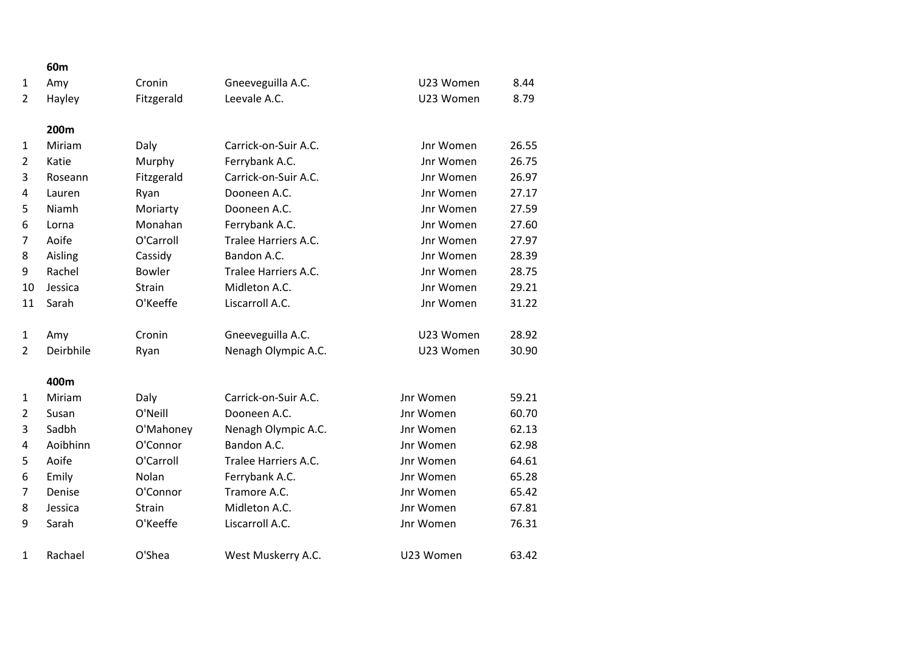|                | 60m       |               |                      |           |       |
|----------------|-----------|---------------|----------------------|-----------|-------|
| 1              | Amy       | Cronin        | Gneeveguilla A.C.    | U23 Women | 8.44  |
| 2              | Hayley    | Fitzgerald    | Leevale A.C.         | U23 Women | 8.79  |
|                | 200m      |               |                      |           |       |
| 1              | Miriam    | Daly          | Carrick-on-Suir A.C. | Jnr Women | 26.55 |
| $\overline{2}$ | Katie     | Murphy        | Ferrybank A.C.       | Jnr Women | 26.75 |
| 3              | Roseann   | Fitzgerald    | Carrick-on-Suir A.C. | Jnr Women | 26.97 |
| 4              | Lauren    | Ryan          | Dooneen A.C.         | Jnr Women | 27.17 |
| 5              | Niamh     | Moriarty      | Dooneen A.C.         | Jnr Women | 27.59 |
| 6              | Lorna     | Monahan       | Ferrybank A.C.       | Jnr Women | 27.60 |
| 7              | Aoife     | O'Carroll     | Tralee Harriers A.C. | Jnr Women | 27.97 |
| 8              | Aisling   | Cassidy       | Bandon A.C.          | Jnr Women | 28.39 |
| 9              | Rachel    | <b>Bowler</b> | Tralee Harriers A.C. | Jnr Women | 28.75 |
| 10             | Jessica   | Strain        | Midleton A.C.        | Jnr Women | 29.21 |
| 11             | Sarah     | O'Keeffe      | Liscarroll A.C.      | Jnr Women | 31.22 |
| $\mathbf{1}$   | Amy       | Cronin        | Gneeveguilla A.C.    | U23 Women | 28.92 |
| $\overline{2}$ | Deirbhile | Ryan          | Nenagh Olympic A.C.  | U23 Women | 30.90 |
|                | 400m      |               |                      |           |       |
| $\mathbf{1}$   | Miriam    | Daly          | Carrick-on-Suir A.C. | Jnr Women | 59.21 |
| $\overline{2}$ | Susan     | O'Neill       | Dooneen A.C.         | Jnr Women | 60.70 |
| 3              | Sadbh     | O'Mahoney     | Nenagh Olympic A.C.  | Jnr Women | 62.13 |
| 4              | Aoibhinn  | O'Connor      | Bandon A.C.          | Jnr Women | 62.98 |
| 5              | Aoife     | O'Carroll     | Tralee Harriers A.C. | Jnr Women | 64.61 |
| 6              | Emily     | Nolan         | Ferrybank A.C.       | Jnr Women | 65.28 |
| 7              | Denise    | O'Connor      | Tramore A.C.         | Jnr Women | 65.42 |
| 8              | Jessica   | Strain        | Midleton A.C.        | Jnr Women | 67.81 |
| 9              | Sarah     | O'Keeffe      | Liscarroll A.C.      | Jnr Women | 76.31 |
| $\mathbf{1}$   | Rachael   | O'Shea        | West Muskerry A.C.   | U23 Women | 63.42 |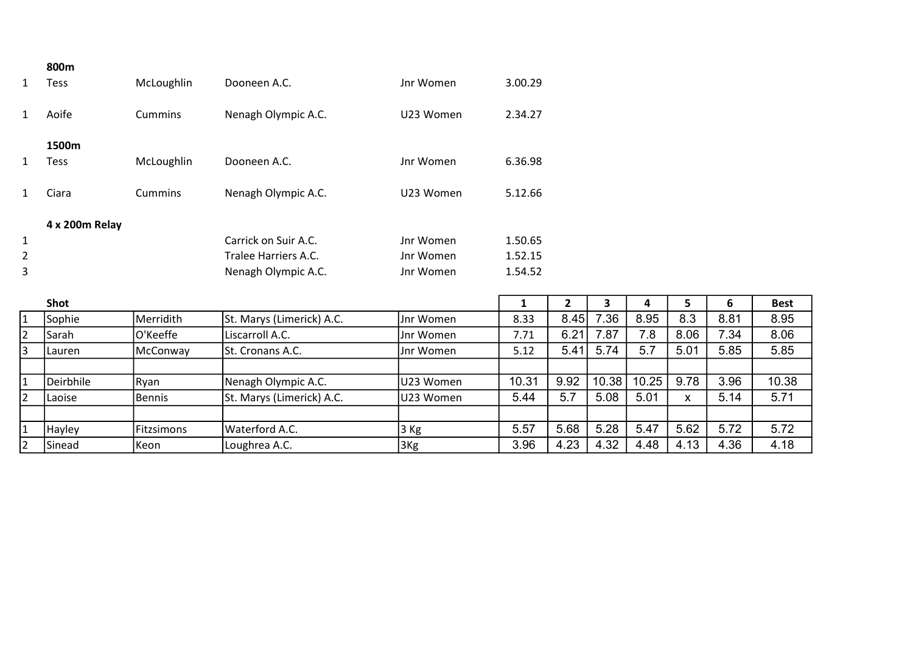|                | 800m           |                |                      |           |         |
|----------------|----------------|----------------|----------------------|-----------|---------|
| 1              | Tess           | McLoughlin     | Dooneen A.C.         | Jnr Women | 3.00.29 |
| 1              | Aoife          | <b>Cummins</b> | Nenagh Olympic A.C.  | U23 Women | 2.34.27 |
|                | 1500m          |                |                      |           |         |
| 1              | Tess           | McLoughlin     | Dooneen A.C.         | Jnr Women | 6.36.98 |
| 1              | Ciara          | <b>Cummins</b> | Nenagh Olympic A.C.  | U23 Women | 5.12.66 |
|                | 4 x 200m Relay |                |                      |           |         |
| $\mathbf{1}$   |                |                | Carrick on Suir A.C. | Jnr Women | 1.50.65 |
| $\overline{2}$ |                |                | Tralee Harriers A.C. | Jnr Women | 1.52.15 |
| 3              |                |                | Nenagh Olympic A.C.  | Jnr Women | 1.54.52 |

|                | Shot          |            |                           |           |       |      |       |       |      |      | <b>Best</b> |
|----------------|---------------|------------|---------------------------|-----------|-------|------|-------|-------|------|------|-------------|
| $\vert$ 1      | Sophie        | Merridith  | St. Marys (Limerick) A.C. | Jnr Women | 8.33  | 8.45 | .36   | 8.95  | 8.3  | 8.81 | 8.95        |
| 2              | <b>Sarah</b>  | O'Keeffe   | Liscarroll A.C.           | Jnr Women | 7.71  | 6.21 | .87   | .8    | 8.06 | 7.34 | 8.06        |
| 3              | Lauren        | McConway   | <b>St. Cronans A.C.</b>   | Jnr Women | 5.12  | 5.41 | 5.74  | 5.7   | 5.01 | 5.85 | 5.85        |
|                |               |            |                           |           |       |      |       |       |      |      |             |
| $\vert$ 1      | Deirbhile     | Ryan       | Nenagh Olympic A.C.       | U23 Women | 10.31 | 9.92 | 10.38 | 10.25 | 9.78 | 3.96 | 10.38       |
| $\overline{2}$ | Laoise        | Bennis     | St. Marys (Limerick) A.C. | U23 Women | 5.44  | 5.7  | 5.08  | 5.01  |      | 5.14 | 5.71        |
|                |               |            |                           |           |       |      |       |       |      |      |             |
| 1              | <b>Hayley</b> | Fitzsimons | Waterford A.C.            | 3 Kg      | 5.57  | 5.68 | 5.28  | 5.47  | 5.62 | 5.72 | 5.72        |
| 2              | Sinead        | lKeon      | Loughrea A.C.             | 3Kg       | 3.96  | 4.23 | 4.32  | 4.48  | 4.13 | 4.36 | 4.18        |